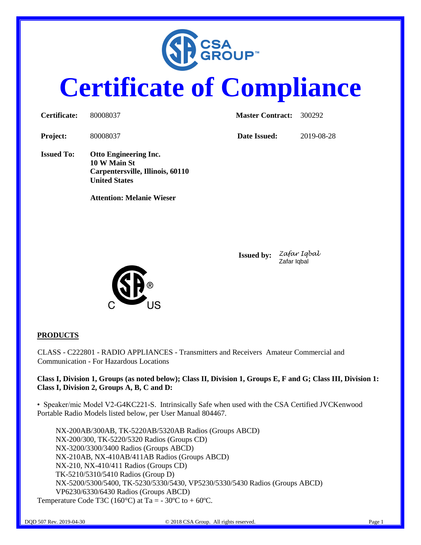

# **Certificate of Compliance**

| Certificate:      | 80008037                                                                                                 | <b>Master Contract:</b> | 300292     |
|-------------------|----------------------------------------------------------------------------------------------------------|-------------------------|------------|
| <b>Project:</b>   | 80008037                                                                                                 | Date Issued:            | 2019-08-28 |
| <b>Issued To:</b> | <b>Otto Engineering Inc.</b><br>10 W Main St<br>Carpentersville, Illinois, 60110<br><b>United States</b> |                         |            |
|                   | <b>Attention: Melanie Wieser</b>                                                                         |                         |            |
|                   |                                                                                                          |                         |            |



**Issued by:** *Zafar Iqbal* Zafar Iqbal

**PRODUCTS**

CLASS - C222801 - RADIO APPLIANCES - Transmitters and Receivers Amateur Commercial and Communication - For Hazardous Locations

#### **Class I, Division 1, Groups (as noted below); Class II, Division 1, Groups E, F and G; Class III, Division 1: Class I, Division 2, Groups A, B, C and D:**

• Speaker/mic Model V2-G4KC221-S. Intrinsically Safe when used with the CSA Certified JVCKenwood Portable Radio Models listed below, per User Manual 804467.

NX-200AB/300AB, TK-5220AB/5320AB Radios (Groups ABCD) NX-200/300, TK-5220/5320 Radios (Groups CD) NX-3200/3300/3400 Radios (Groups ABCD) NX-210AB, NX-410AB/411AB Radios (Groups ABCD) NX-210, NX-410/411 Radios (Groups CD) TK-5210/5310/5410 Radios (Group D) NX-5200/5300/5400, TK-5230/5330/5430, VP5230/5330/5430 Radios (Groups ABCD) VP6230/6330/6430 Radios (Groups ABCD) Temperature Code T3C (160 $^{\circ}$ C) at Ta = -30 $^{\circ}$ C to +60 $^{\circ}$ C.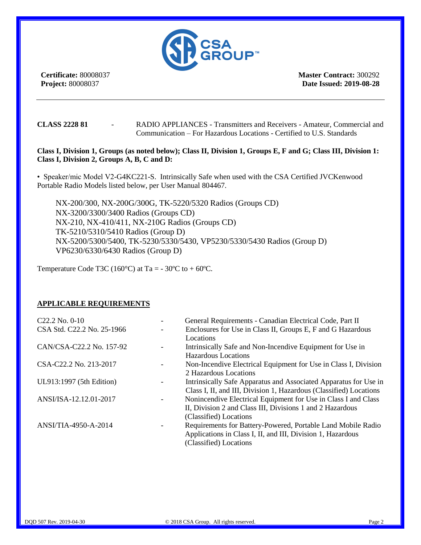

**Certificate:** 80008037 **Project:** 80008037

**Master Contract:** 300292 **Date Issued: 2019-08-28**

**CLASS 2228 81** - RADIO APPLIANCES - Transmitters and Receivers - Amateur, Commercial and Communication – For Hazardous Locations - Certified to U.S. Standards

#### **Class I, Division 1, Groups (as noted below); Class II, Division 1, Groups E, F and G; Class III, Division 1: Class I, Division 2, Groups A, B, C and D:**

• Speaker/mic Model V2-G4KC221-S. Intrinsically Safe when used with the CSA Certified JVCKenwood Portable Radio Models listed below, per User Manual 804467.

NX-200/300, NX-200G/300G, TK-5220/5320 Radios (Groups CD) NX-3200/3300/3400 Radios (Groups CD) NX-210, NX-410/411, NX-210G Radios (Groups CD) TK-5210/5310/5410 Radios (Group D) NX-5200/5300/5400, TK-5230/5330/5430, VP5230/5330/5430 Radios (Group D) VP6230/6330/6430 Radios (Group D)

Temperature Code T3C (160 $^{\circ}$ C) at Ta = -30 $^{\circ}$ C to +60 $^{\circ}$ C.

#### **APPLICABLE REQUIREMENTS**

| C <sub>22.2</sub> No. 0-10 | General Requirements - Canadian Electrical Code, Part II           |
|----------------------------|--------------------------------------------------------------------|
| CSA Std. C22.2 No. 25-1966 | Enclosures for Use in Class II, Groups E, F and G Hazardous        |
|                            | Locations                                                          |
| CAN/CSA-C22.2 No. 157-92   | Intrinsically Safe and Non-Incendive Equipment for Use in          |
|                            | Hazardous Locations                                                |
| CSA-C22.2 No. 213-2017     | Non-Incendive Electrical Equipment for Use in Class I, Division    |
|                            | 2 Hazardous Locations                                              |
| UL913:1997 (5th Edition)   | Intrinsically Safe Apparatus and Associated Apparatus for Use in   |
|                            | Class I, II, and III, Division 1, Hazardous (Classified) Locations |
| ANSI/ISA-12.12.01-2017     | Nonincendive Electrical Equipment for Use in Class I and Class     |
|                            | II, Division 2 and Class III, Divisions 1 and 2 Hazardous          |
|                            | (Classified) Locations                                             |
| ANSI/TIA-4950-A-2014       | Requirements for Battery-Powered, Portable Land Mobile Radio       |
|                            | Applications in Class I, II, and III, Division 1, Hazardous        |
|                            | (Classified) Locations                                             |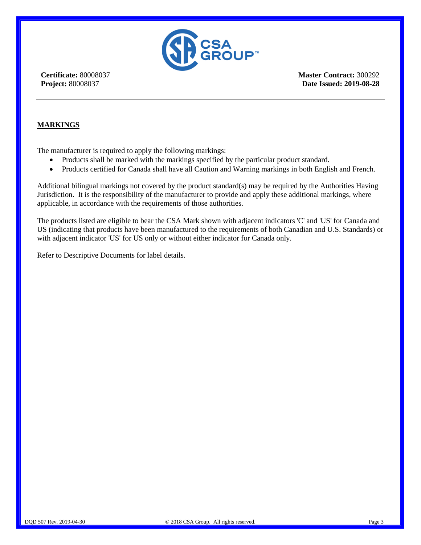

**Certificate:** 80008037 **Project:** 80008037

**Master Contract:** 300292 **Date Issued: 2019-08-28**

#### **MARKINGS**

The manufacturer is required to apply the following markings:

- Products shall be marked with the markings specified by the particular product standard.
- Products certified for Canada shall have all Caution and Warning markings in both English and French.

Additional bilingual markings not covered by the product standard(s) may be required by the Authorities Having Jurisdiction. It is the responsibility of the manufacturer to provide and apply these additional markings, where applicable, in accordance with the requirements of those authorities.

The products listed are eligible to bear the CSA Mark shown with adjacent indicators 'C' and 'US' for Canada and US (indicating that products have been manufactured to the requirements of both Canadian and U.S. Standards) or with adjacent indicator 'US' for US only or without either indicator for Canada only.

Refer to Descriptive Documents for label details.